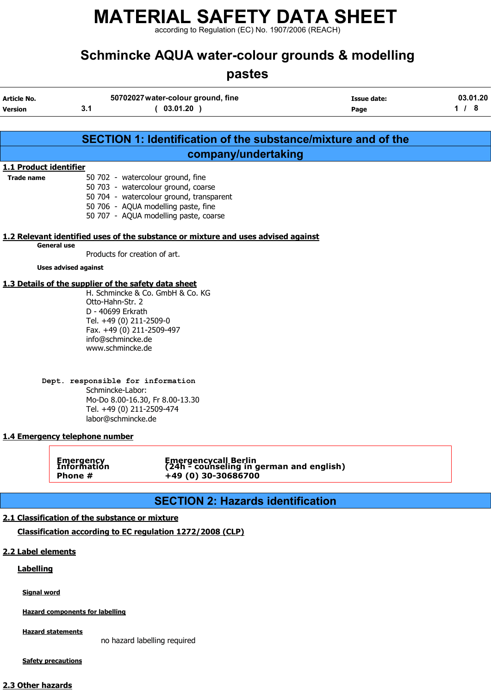according to Regulation (EC) No. 1907/2006 (REACH)

## Schmincke AQUA water-colour grounds & modelling

## pastes

| <b>Article No.</b><br><b>Version</b> | 3.1                                                                                                                                                                                            | 50702027 water-colour ground, fine<br>(03.01.20)                                                                                                                                                     | Issue date:<br>Page | 03.01.20<br>1/8 |
|--------------------------------------|------------------------------------------------------------------------------------------------------------------------------------------------------------------------------------------------|------------------------------------------------------------------------------------------------------------------------------------------------------------------------------------------------------|---------------------|-----------------|
|                                      |                                                                                                                                                                                                | <b>SECTION 1: Identification of the substance/mixture and of the</b>                                                                                                                                 |                     |                 |
|                                      |                                                                                                                                                                                                | company/undertaking                                                                                                                                                                                  |                     |                 |
| 1.1 Product identifier               |                                                                                                                                                                                                |                                                                                                                                                                                                      |                     |                 |
| <b>Trade name</b>                    |                                                                                                                                                                                                | 50 702 - watercolour ground, fine<br>50 703 - watercolour ground, coarse<br>50 704 - watercolour ground, transparent<br>50 706 - AQUA modelling paste, fine<br>50 707 - AQUA modelling paste, coarse |                     |                 |
|                                      |                                                                                                                                                                                                | 1.2 Relevant identified uses of the substance or mixture and uses advised against                                                                                                                    |                     |                 |
|                                      | <b>General use</b><br>Products for creation of art.                                                                                                                                            |                                                                                                                                                                                                      |                     |                 |
|                                      | <b>Uses advised against</b>                                                                                                                                                                    |                                                                                                                                                                                                      |                     |                 |
|                                      | 1.3 Details of the supplier of the safety data sheet<br>Otto-Hahn-Str. 2<br>D - 40699 Erkrath<br>Tel. +49 (0) 211-2509-0<br>Fax. +49 (0) 211-2509-497<br>info@schmincke.de<br>www.schmincke.de | H. Schmincke & Co. GmbH & Co. KG                                                                                                                                                                     |                     |                 |
|                                      | Dept. responsible for information<br>Schmincke-Labor:<br>Tel. +49 (0) 211-2509-474<br>labor@schmincke.de<br>1.4 Emergency telephone number                                                     | Mo-Do 8.00-16.30, Fr 8.00-13.30                                                                                                                                                                      |                     |                 |
|                                      | <b>Emergency</b><br>Information<br>Phone #                                                                                                                                                     | Emergencycall Berlin<br>(24h - counseling in german and english)<br>+49 (0) 30-30686700                                                                                                              |                     |                 |
|                                      |                                                                                                                                                                                                |                                                                                                                                                                                                      |                     |                 |
|                                      |                                                                                                                                                                                                | <b>SECTION 2: Hazards identification</b>                                                                                                                                                             |                     |                 |
|                                      | 2.1 Classification of the substance or mixture                                                                                                                                                 |                                                                                                                                                                                                      |                     |                 |
|                                      |                                                                                                                                                                                                | Classification according to EC regulation 1272/2008 (CLP)                                                                                                                                            |                     |                 |
| 2.2 Label elements                   |                                                                                                                                                                                                |                                                                                                                                                                                                      |                     |                 |
|                                      |                                                                                                                                                                                                |                                                                                                                                                                                                      |                     |                 |
| <b>Labelling</b>                     |                                                                                                                                                                                                |                                                                                                                                                                                                      |                     |                 |

Signal word

Hazard components for labelling

**Hazard statements** 

no hazard labelling required

**Safety precautions** 

#### 2.3 Other hazards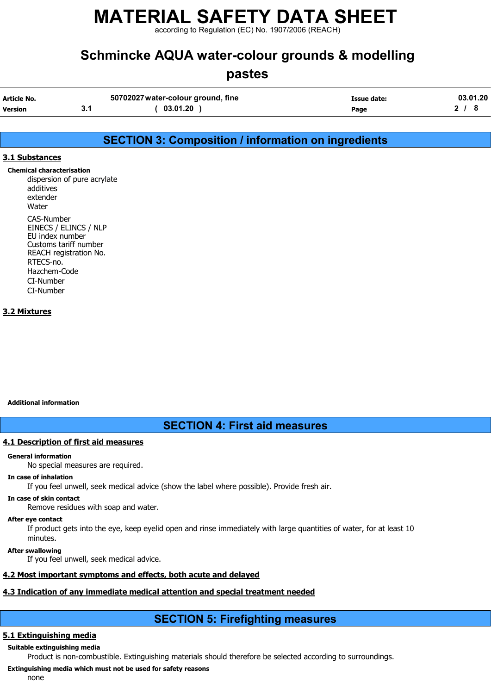according to Regulation (EC) No. 1907/2006 (REACH)

## Schmincke AQUA water-colour grounds & modelling

### pastes

| Article No.    | 50702027 water-colour ground, fine | Issue date: | 03.01.20 |
|----------------|------------------------------------|-------------|----------|
| <b>Version</b> | 03.01.20                           | Page        |          |

### SECTION 3: Composition / information on ingredients

#### 3.1 Substances

Chemical characterisation dispersion of pure acrylate additives extender **Water** CAS-Number EINECS / ELINCS / NLP EU index number Customs tariff number REACH registration No. RTECS-no. Hazchem-Code CI-Number CI-Number

#### 3.2 Mixtures

#### Additional information

#### SECTION 4: First aid measures

#### 4.1 Description of first aid measures

#### General information

No special measures are required.

#### In case of inhalation

If you feel unwell, seek medical advice (show the label where possible). Provide fresh air.

#### In case of skin contact

Remove residues with soap and water.

#### After eye contact

If product gets into the eye, keep eyelid open and rinse immediately with large quantities of water, for at least 10 minutes.

#### After swallowing

If you feel unwell, seek medical advice.

#### 4.2 Most important symptoms and effects, both acute and delayed

#### 4.3 Indication of any immediate medical attention and special treatment needed

### SECTION 5: Firefighting measures

#### 5.1 Extinguishing media

Suitable extinguishing media

Product is non-combustible. Extinguishing materials should therefore be selected according to surroundings.

#### Extinguishing media which must not be used for safety reasons

none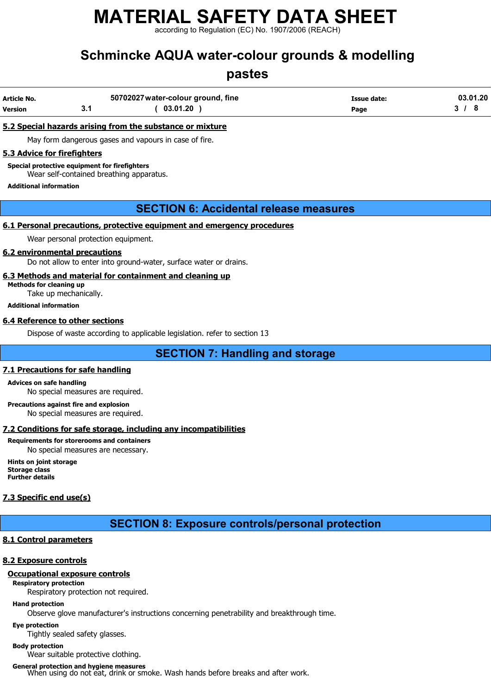according to Regulation (EC) No. 1907/2006 (REACH)

## Schmincke AQUA water-colour grounds & modelling

## pastes

| Article No.    | 50702027 water-colour ground, fine | Issue date: | 03.01.20 |
|----------------|------------------------------------|-------------|----------|
| <b>Version</b> | 03.01.20                           | Page        |          |

#### 5.2 Special hazards arising from the substance or mixture

May form dangerous gases and vapours in case of fire.

#### 5.3 Advice for firefighters

Special protective equipment for firefighters

Wear self-contained breathing apparatus.

Additional information

#### SECTION 6: Accidental release measures

#### 6.1 Personal precautions, protective equipment and emergency procedures

Wear personal protection equipment.

#### 6.2 environmental precautions

Do not allow to enter into ground-water, surface water or drains.

#### 6.3 Methods and material for containment and cleaning up

Methods for cleaning up Take up mechanically.

Additional information

#### 6.4 Reference to other sections

Dispose of waste according to applicable legislation. refer to section 13

#### SECTION 7: Handling and storage

#### 7.1 Precautions for safe handling

#### Advices on safe handling

No special measures are required.

Precautions against fire and explosion No special measures are required.

#### 7.2 Conditions for safe storage, including any incompatibilities

#### Requirements for storerooms and containers

No special measures are necessary.

Hints on joint storage Storage class Further details

#### 7.3 Specific end use(s)

SECTION 8: Exposure controls/personal protection

#### 8.1 Control parameters

#### 8.2 Exposure controls

#### Occupational exposure controls

Respiratory protection

Respiratory protection not required.

#### Hand protection

Observe glove manufacturer's instructions concerning penetrability and breakthrough time.

#### Eye protection

Tightly sealed safety glasses.

#### Body protection

Wear suitable protective clothing.

General protection and hygiene measures<br>When using do not eat, drink or smoke. Wash hands before breaks and after work.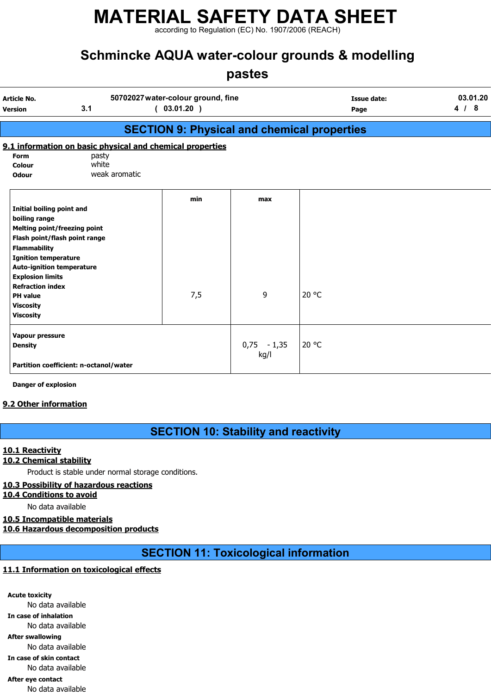according to Regulation (EC) No. 1907/2006 (REACH)

## Schmincke AQUA water-colour grounds & modelling

## pastes

| Article No.<br><b>Version</b>                                                                                                                                                                           | 3.1                                                       | 50702027 water-colour ground, fine<br>(03.01.20)   |                       | Issue date:<br>Page | 03.01.20<br>4/8 |
|---------------------------------------------------------------------------------------------------------------------------------------------------------------------------------------------------------|-----------------------------------------------------------|----------------------------------------------------|-----------------------|---------------------|-----------------|
|                                                                                                                                                                                                         |                                                           | <b>SECTION 9: Physical and chemical properties</b> |                       |                     |                 |
|                                                                                                                                                                                                         | 9.1 information on basic physical and chemical properties |                                                    |                       |                     |                 |
| <b>Form</b><br>Colour<br><b>Odour</b>                                                                                                                                                                   | pasty<br>white<br>weak aromatic                           |                                                    |                       |                     |                 |
| <b>Initial boiling point and</b><br>boiling range<br><b>Melting point/freezing point</b><br>Flash point/flash point range                                                                               |                                                           | min                                                | max                   |                     |                 |
| <b>Flammability</b><br><b>Ignition temperature</b><br><b>Auto-ignition temperature</b><br><b>Explosion limits</b><br><b>Refraction index</b><br><b>PH</b> value<br><b>Viscosity</b><br><b>Viscosity</b> |                                                           | 7,5                                                | 9                     | $20^{\circ}$ C      |                 |
| Vapour pressure<br><b>Density</b>                                                                                                                                                                       | Partition coefficient: n-octanol/water                    |                                                    | $0,75 - 1,35$<br>kg/l | 20 °C               |                 |

Danger of explosion

#### 9.2 Other information

SECTION 10: Stability and reactivity

#### 10.1 Reactivity

#### 10.2 Chemical stability

Product is stable under normal storage conditions.

#### 10.3 Possibility of hazardous reactions

#### 10.4 Conditions to avoid

No data available

#### 10.5 Incompatible materials

10.6 Hazardous decomposition products

SECTION 11: Toxicological information

#### 11.1 Information on toxicological effects

Acute toxicity No data available In case of inhalation No data available After swallowing No data available In case of skin contact No data available After eye contact No data available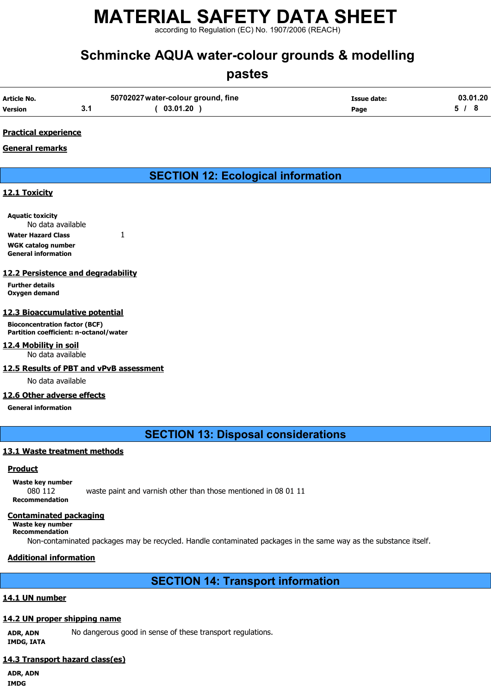according to Regulation (EC) No. 1907/2006 (REACH)

## Schmincke AQUA water-colour grounds & modelling

### pastes

| Article No.    | 50702027 water-colour ground, fine | Issue date: | 03.01.20 |
|----------------|------------------------------------|-------------|----------|
| <b>Version</b> | 03.01.20                           | Page        |          |

#### Practical experience

#### General remarks

## SECTION 12: Ecological information

#### 12.1 Toxicity

Aquatic toxicity No data available Water Hazard Class 1 WGK catalog number General information

#### 12.2 Persistence and degradability

Further details Oxygen demand

#### 12.3 Bioaccumulative potential

Bioconcentration factor (BCF) Partition coefficient: n-octanol/water

12.4 Mobility in soil No data available

#### 12.5 Results of PBT and vPvB assessment

No data available

#### 12.6 Other adverse effects

General information

SECTION 13: Disposal considerations

#### 13.1 Waste treatment methods

#### Product

Waste key number 080 112 waste paint and varnish other than those mentioned in 08 01 11 Recommendation

#### Contaminated packaging

Waste key number

Recommendation

Non-contaminated packages may be recycled. Handle contaminated packages in the same way as the substance itself.

#### Additional information

#### SECTION 14: Transport information

#### 14.1 UN number

#### 14.2 UN proper shipping name

ADR, ADN No dangerous good in sense of these transport regulations. IMDG, IATA

#### 14.3 Transport hazard class(es)

ADR, ADN IMDG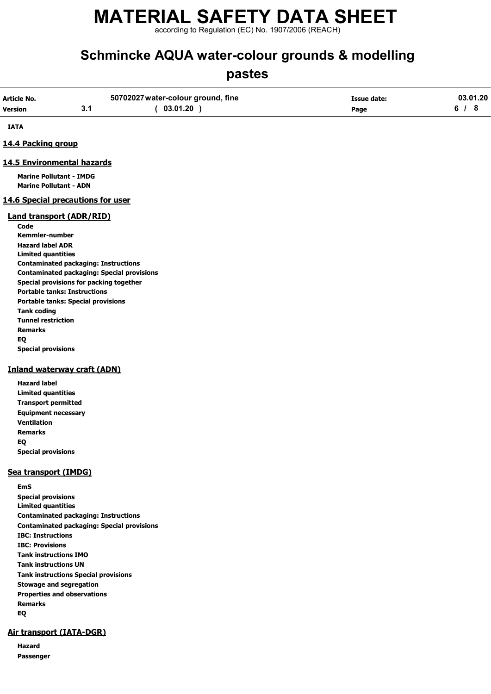according to Regulation (EC) No. 1907/2006 (REACH)

## Schmincke AQUA water-colour grounds & modelling

## pastes

| Article No.          | 50702027 water-colour ground, fine | <b>Issue date:</b> | 03.01.20 |
|----------------------|------------------------------------|--------------------|----------|
| <b>Version</b><br>v. | 03.01.20                           | Page               |          |

IATA

#### 14.4 Packing group

#### 14.5 Environmental hazards

Marine Pollutant - IMDG Marine Pollutant - ADN

#### 14.6 Special precautions for user

#### Land transport (ADR/RID)

Code Kemmler-number Hazard label ADR Limited quantities Contaminated packaging: Instructions Contaminated packaging: Special provisions Special provisions for packing together Portable tanks: Instructions Portable tanks: Special provisions Tank coding Tunnel restriction Remarks EQ Special provisions

#### Inland waterway craft (ADN)

Hazard label Limited quantities Transport permitted Equipment necessary Ventilation Remarks EQ Special provisions

#### Sea transport (IMDG)

EmS Special provisions Limited quantities Contaminated packaging: Instructions Contaminated packaging: Special provisions IBC: Instructions IBC: Provisions Tank instructions IMO Tank instructions UN Tank instructions Special provisions Stowage and segregation Properties and observations Remarks EQ

#### Air transport (IATA-DGR)

Hazard Passenger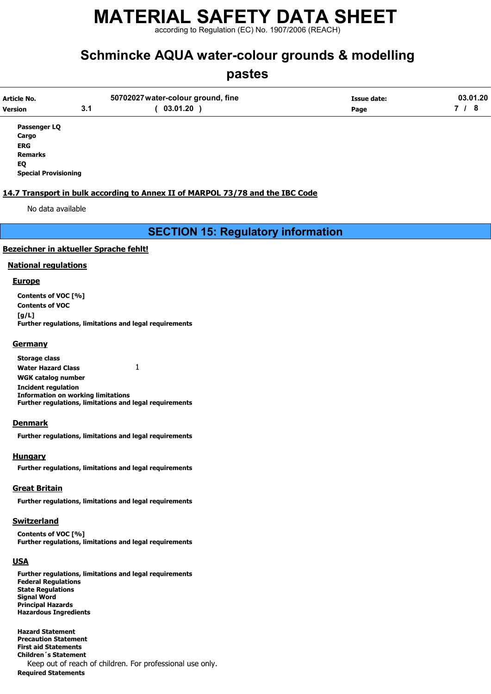according to Regulation (EC) No. 1907/2006 (REACH)

## Schmincke AQUA water-colour grounds & modelling

### pastes

| Article No.    |     | 50702027 water-colour ground, fine | Issue date: | 03.01.20 |
|----------------|-----|------------------------------------|-------------|----------|
| <b>Version</b> | 3.1 | 03.01.20                           | Page        |          |
| Passenger LQ   |     |                                    |             |          |

Cargo ERG Remarks EQ

Special Provisioning

#### 14.7 Transport in bulk according to Annex II of MARPOL 73/78 and the IBC Code

No data available

SECTION 15: Regulatory information

#### Bezeichner in aktueller Sprache fehlt!

#### National regulations

#### **Europe**

Contents of VOC [%] Contents of VOC  $[a/L]$ Further regulations, limitations and legal requirements

#### **Germany**

Storage class Water Hazard Class 1 WGK catalog number Incident regulation Information on working limitations Further regulations, limitations and legal requirements

#### Denmark

Further regulations, limitations and legal requirements

#### Hungary

Further regulations, limitations and legal requirements

#### Great Britain

Further regulations, limitations and legal requirements

#### **Switzerland**

Contents of VOC [%] Further regulations, limitations and legal requirements

#### USA

Further regulations, limitations and legal requirements Federal Regulations State Regulations Signal Word Principal Hazards Hazardous Ingredients

Hazard Statement Precaution Statement First aid Statements Children´s Statement Keep out of reach of children. For professional use only. Required Statements